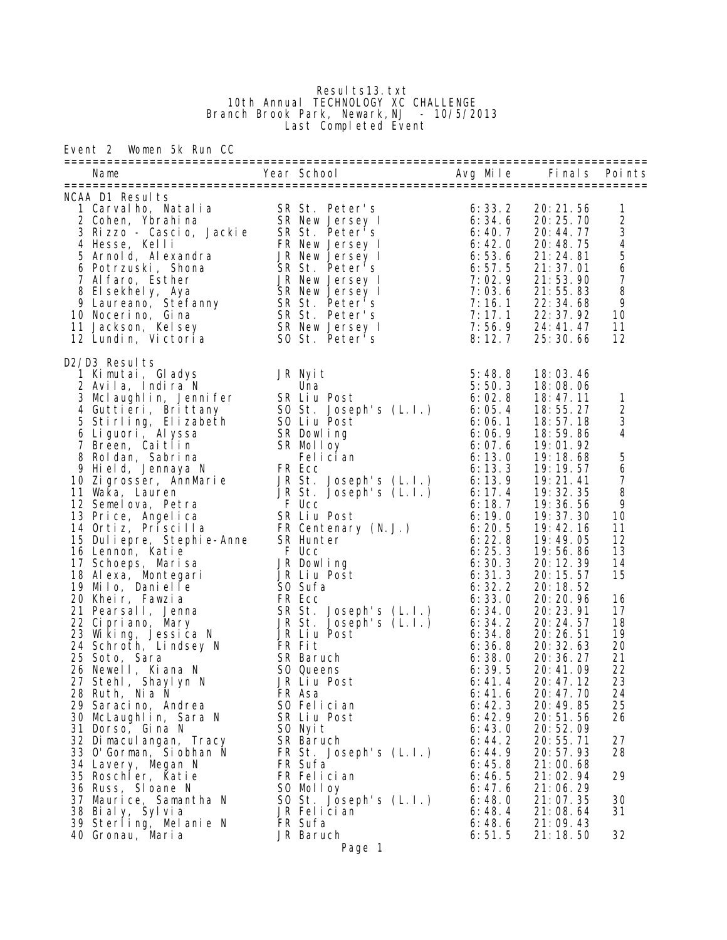## Resul ts13. txt 10th Annual TECHNOLOGY XC CHALLENGE Branch Brook Park, Newark,NJ - 10/5/2013 Last Completed Event

Event 2 Women 5k Run CC

|                                                                                                                                                                                                                                                                                                                                                                                                                                                                                                                                                                               |                                                                                                                                                                                                          |                                                                                                                                                                                                                                                                                                                                                                                                                     | Finals Points                                                                                                                                                                                                                                                                                                                                                                                                                                                                                        |                                                                                                                                                                                                                                                                                             |
|-------------------------------------------------------------------------------------------------------------------------------------------------------------------------------------------------------------------------------------------------------------------------------------------------------------------------------------------------------------------------------------------------------------------------------------------------------------------------------------------------------------------------------------------------------------------------------|----------------------------------------------------------------------------------------------------------------------------------------------------------------------------------------------------------|---------------------------------------------------------------------------------------------------------------------------------------------------------------------------------------------------------------------------------------------------------------------------------------------------------------------------------------------------------------------------------------------------------------------|------------------------------------------------------------------------------------------------------------------------------------------------------------------------------------------------------------------------------------------------------------------------------------------------------------------------------------------------------------------------------------------------------------------------------------------------------------------------------------------------------|---------------------------------------------------------------------------------------------------------------------------------------------------------------------------------------------------------------------------------------------------------------------------------------------|
| NCAA D1 Results<br>VCAA DI Results<br>1 Carvalho, Natalia<br>2 Cohen, Ybrahina<br>3 Rizzo - Cascio, Jackie<br>5 R St. Peter's<br>4 Hesse, Kelli<br>5 Arnold, Alexandra<br>6 Potrzuski, Shona<br>6 Potrzuski, Shona<br>8 Elsekhely, Aya<br>8 Elsekhely, Aya<br>9 Laurean                                                                                                                                                                                                                                                                                                       |                                                                                                                                                                                                          |                                                                                                                                                                                                                                                                                                                                                                                                                     | 20: 21.56<br>20: 25. 70<br>20: 44. 77<br>20:48.75<br>21:24.81<br>21:37.01<br>21:53.90<br>21:55.83<br>22:34.68<br>22: 37. 92<br>24: 41. 47<br>25:30.66                                                                                                                                                                                                                                                                                                                                                | 1<br>2345678<br>9<br>10<br>11<br>12                                                                                                                                                                                                                                                         |
| D2/D3 Results<br>D2/D3 Results<br>1 Kimutai, Gladys<br>2 Avila, Indira N<br>3 Mclaughlin, Jennifer<br>4 Guttlieri, Brittany<br>4 Stirling, Elizabeth<br>5 Stirling, Elizabeth<br>5 Ob t. Joseph's (L. I.)<br>5 Stirling, Elizabeth<br>5 Ob t. Post<br>6 Liguori, Ca<br>28 Ruth, Nia N<br>29 Saracino, Andrea<br>30 McLaughlin, Sara N<br>31 Dorso, Gina N<br>32 Di macul angan, Tracy<br>33 O'Gorman, Si obhan N<br>34 Lavery, Megan N<br>35 Roschler, Katie<br>36 Russ, Sloane N<br>37 Maurice, Samantha N<br>38 Bialy, Sylvia<br>39 Sterling, Melanie N<br>40 Gronau, Maria | FR Asa<br>SO Felician<br>SR Liu Post<br>SO Nyit<br>SR Baruch<br>FR St. Joseph's (L.I.)<br>FR Sufa<br>FR Felician<br>SO Molloy<br>SO St. Joseph's (L.I.)<br>JR Felician<br>FR Sufa<br>JR Baruch<br>Page 1 | 5:48.8<br>5:50.3<br>6:02.8<br>6:05.4<br>6:06.1<br>6:06.9<br>6:07.6<br>6:13.0<br>6:13.3<br>6:13.9<br>6:17.4<br>6:18.7<br>6:19.0<br>6:20.5<br>6:22.8<br>6:25.3<br>6:30.3<br>6:31.3<br>6:32.2<br>6:33.0<br>6:34.0<br>6:34.2<br>6:34.8<br>6:36.8<br>6:38.0<br>6:39.5<br>6: 41.4<br>6: 41.6<br>6: 42.3<br>6: 42.9<br>6:43.0<br>6: 44.2<br>6: 44.9<br>6:45.8<br>6:46.5<br>6: 47.6<br>6:48.0<br>6:48.4<br>6:48.6<br>6:51.5 | 18:03.46<br>18:08.06<br>18:47.11<br>18:55.27<br>18:57.18<br>18:59.86<br>19:01.92<br>19:18.68<br>19: 19. 57<br>19:21.41<br>19:32.35<br>19:36.56<br>19:37.30<br>19:42.16<br>19:49.05<br>19:56.86<br>20: 12. 39<br>20:15.57<br>20:18.52<br>20: 20. 96<br>20:23.91<br>20:24.57<br>20:26.51<br>20:32.63<br>20: 36. 27<br>20:41.09<br>20:47.12<br>20:47.70<br>20:49.85<br>20:51.56<br>20:52.09<br>20:55.71<br>20:57.93<br>21:00.68<br>21:02.94<br>21:06.29<br>21:07.35<br>21:08.64<br>21:09.43<br>21:18.50 | $\mathbf{1}$<br>$\sqrt{2}$<br>3<br>$\overline{\mathbf{4}}$<br>$\begin{array}{c} 5 \\ 6 \end{array}$<br>$\begin{array}{c} 7 \\ 8 \end{array}$<br>9<br>10<br>11<br>12<br>13<br>14<br>15<br>16<br>17<br>18<br>19<br>20<br>21<br>22<br>23<br>24<br>25<br>26<br>27<br>28<br>29<br>30<br>31<br>32 |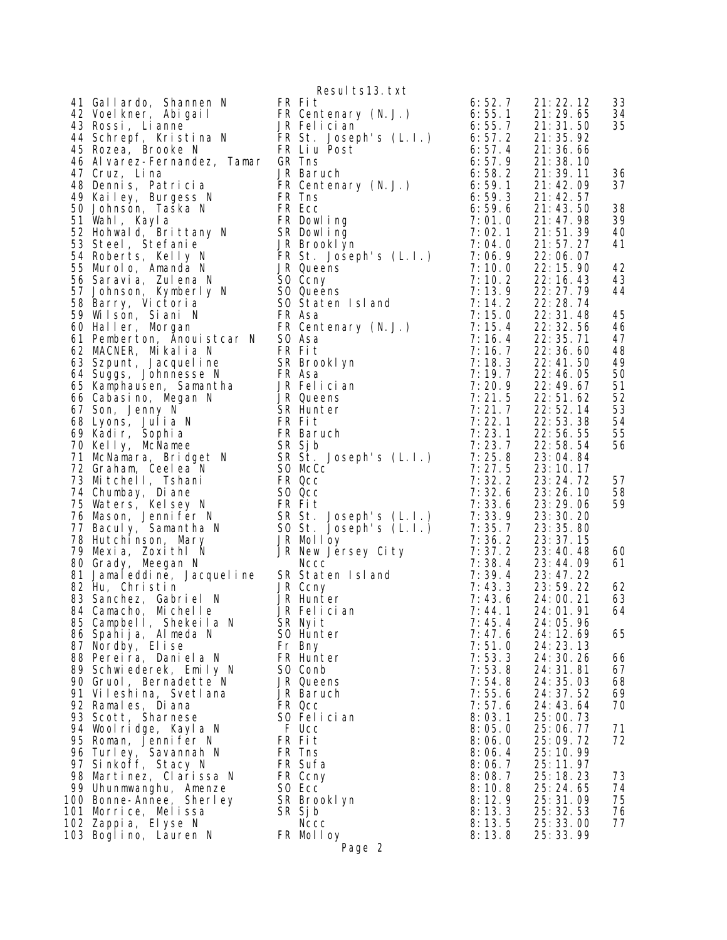41 Gallardo, Shannen N FR Fit 6:52.7 21:22.12 34:22.12 34:22.12 34:22.12 34:22.12 34:22.12 34:22.12 34:22.12 34:22.12 34:22.12 34:22.12 34:22.12 34:22.12 34:22.12 34:22.12 34:22.12 34:22.12 34:22.12 34:22.12 34:22.12 34:22 42 Voelkner, Abigail 43 Rossi, Lianne 44 Schrepf, Kristina N FR St. Joseph's (L.I.) 6:57.2 21:35.92 45 Rozea, Brooke N FR Liu Post 6:57.4 21:36.66 46 Alvarez-Fernandez, Tamar 47 Cruz, Lina 48 Dennis, Patricia 49 Kailey, Burgess N FR Tns 6:59.3 21:42.57 50 Johnson, Taska N FR Ecc 6:59.6 21:43.50 38 51 Wahl, Kayla 52 Hohwald, Brittany N SR Dowling 7:02.1 21:51.39 40 53 Steel, Stefanie JR Brooklyn 7:04.0 21:57.27 41 54 Roberts, Kelly N FR St. Joseph's (L.I.) 7:06.9 22:06.07 55 Murolo, Amanda N JR Queens 7:10.0 22:15.90 42 56 Saravia, Zulena N SO Ccny 1:10.2 22:16.43 43 57 Johnson, Kymberly N 58 Barry, Victoria SO Staten Island 7:14.2 22:28.74 59 Wilson, Siani N FR Asa 7:15.0 22:31.48 45 60 Haller, Morgan FR Centenary (N.J.) 7:15.4 22:32.56 46 61 Pemberton, Anouistcar N 62 MACNER, Mikalia N FR Fit 7:16.7 22:36.60 48 63 Szpunt, Jacqueline SR Brooklyn 7:18.3 22:41.50 49 64 Suggs, Johnnesse N FR Asa 7 7:19.7 22:46.05 50 65 Kamphausen, Samantha 66 Cabasino, Megan N 67 Son, Jenny N 68 Lyons, Julia N FR Fit 7:22.1 22:53.38 54 69 Kadir, Sophia FR Baruch 7:23.1 22:56.55 55 70 Kelly, McNamee SR Sjb 7:23.7 22:58.54 56 71 McNamara, Bridget N SR St. Joseph's (L.I.) 7:25.8 23:04.84 72 Graham, Ceelea N SO McCc 7:27.5 23:10.17 73 Mitchell, Tshani FR Qcc 7:32.2 23:24.72 57 74 Chumbay, Diane SO Qcc 7:32.6 23:26.10 58 75 Waters, Kelsey N FR Fit 7:33.6 23:29.06 59 76 Mason, Jennifer N 77 Baculy, Samantha N 78 Hutchinson, Mary 79 Mexia, Zoxithl N JR New Jersey City 7:37.2 23:40.48 60 80 Grady, Meegan N Nccc 7:38.4 23:44.09 61 81 Jamaleddine, Jacqueline SR Staten Island 7:39.4 23:47.22 82 Hu, Christin 83 Sanchez, Gabriel N 84 Camacho, Michelle 85 Campbell, Shekeila N SR Nyit 1994 - 7:45.4 24:05.96 86 Spahija, Almeda N SO Hunter 7:47.6 24:12.69 65 87 Nordby, Elise 88 Pereira, Daniela N 89 Schwiederek, Emily N 90 Gruol, Bernadette N 91 Vileshina, Svetlana JR Baruch 7:55.6 24:37.52 69 92 Ramales, Diana FR Qcc 7:57.6 24:43.64 70 93 Scott, Sharnese SO Felician 8:03.1 25:00.73 94 Woolridge, Kayla N 95 Roman, Jennifer N FR Fit 8:06.0 25:09.72 72 96 Turley, Savannah N FR Tns 8:06.4 25:10.99 97 Sinkoff, Stacy N FR Sufa 8:06.7 25:11.97 98 Martinez, Clarissa N FR Ccny 8:08.7 25:18.23 73 99 Uhunmwanghu, Amenze SO Ecc 8:10.8 25:24.65 74 100 Bonne-Annee, Sherley SR Brooklyn 8:12.9 25:31.09 75 101 Morrice, Melissa SR Sjb 8:13.3 25:32.53 76 102 Zappia, Elyse N Nccc 8:13.5 25:33.00 77 103 Boglino, Lauren N

|                             | Resul ts13. txt                                                  |
|-----------------------------|------------------------------------------------------------------|
| FR<br>JR<br>FR              | FR Fit<br>Centenary (N.J.)<br>Fel i ci an<br>St. Joseph's (L.I.) |
| FR                          | Liu Post                                                         |
| GR                          | Tns                                                              |
| JR                          | Baruch                                                           |
| FR                          | Centenary (N.J.)                                                 |
| FR                          | Ins                                                              |
| FR.                         | Ecc                                                              |
| FR                          | Dowl ing                                                         |
| SR                          | Dowl ing                                                         |
| JR                          | Brookl yn                                                        |
| FR                          | St. Joseph's (L.I.)                                              |
| JR                          | Queens                                                           |
| SO                          | Ccny                                                             |
| S0                          | Queens                                                           |
| S <sub>0</sub>              | Staten Island                                                    |
| FR.                         | Asa                                                              |
| FR                          | Centenary (N.J.)                                                 |
| S <sub>0</sub>              | Asa                                                              |
| FR                          | Fit                                                              |
| SR                          | Brookl yn                                                        |
| FR.<br>JR                   | Asa<br>JR Felician<br>Queens                                     |
| <b>SR</b>                   | Hunter                                                           |
| FR                          | Fit                                                              |
| FR                          | Baruch                                                           |
| <b>SR</b>                   | Sj b                                                             |
| SR                          | St. Joseph's (L.I.)                                              |
| S <sub>O</sub>              | McCc                                                             |
| FR                          | Qcc                                                              |
| S0                          | Qcc                                                              |
| FR<br><b>SR</b><br>S0<br>JR | Fi t<br><br>St. Joseph's (L.I.)<br>St. Joseph's (L.I.)<br>Molloy |
| JR                          | New Jersey City                                                  |
| <b>SR</b>                   | Nccc                                                             |
| <b>JR</b>                   | Staten Island                                                    |
| JR<br>SR                    | Ccny<br>JR Hunter<br>Fel i ci an<br>Nyi t                        |
| SO.                         | Hunter                                                           |
| Fr                          | Bny                                                              |
| FR                          | Hunter                                                           |
| S0                          | Conb                                                             |
| JR                          | Queens                                                           |
| JR                          | Baruch                                                           |
| FR                          | <b>Qcc</b>                                                       |
| SO.                         | Felician                                                         |
| F                           | Ucc                                                              |
| FR                          | Fi t                                                             |
| FR                          | Tns                                                              |
| FR                          | Sufa                                                             |
| FR                          | Ccny                                                             |
| S <sub>0</sub>              | Ecc                                                              |
| <b>SR</b>                   | Brookl yn                                                        |
| SR<br>FR                    | Sj b<br>Nccc<br>Mol I oy<br>Page 2                               |

| 55555555550000011111111122222222333333334445255777899912460011556689011233572233333931445<br>1724921360                                                        | 22333333344445550112233333444455555684012469.0333344445600105.233563333444455500115.03363570.03570.03570.0357<br>16596110559320947745765066135581771028140222199250926011970039770394861005724854472060058922116 | 33<br>34<br>35<br>36<br>37<br>38<br>39<br>40<br>41<br>42<br>43<br>44 |
|----------------------------------------------------------------------------------------------------------------------------------------------------------------|------------------------------------------------------------------------------------------------------------------------------------------------------------------------------------------------------------------|----------------------------------------------------------------------|
| 1090292044737957117852669722443614                                                                                                                             |                                                                                                                                                                                                                  | 45478901234556                                                       |
|                                                                                                                                                                |                                                                                                                                                                                                                  | 57<br>58<br>59                                                       |
|                                                                                                                                                                |                                                                                                                                                                                                                  | 60<br>61                                                             |
|                                                                                                                                                                |                                                                                                                                                                                                                  | 62<br>63<br>64                                                       |
| 47<br>$\begin{matrix} 6 \\ 0 \end{matrix}$<br>1                                                                                                                | $\frac{24}{24}$<br>$\frac{24}{24}$<br>12.<br>23.<br>69<br>3<br>1                                                                                                                                                 | 65                                                                   |
| 5<br>5<br>$\overline{3}$<br>3<br>53<br>8<br>$\frac{54}{55}$ .<br>8<br>6<br>6                                                                                   | 30.<br>26<br>24:<br>31<br>81<br>24:<br>03<br>35<br>$\ddot{\phantom{a}}$<br>$\overline{2}4:$<br>52<br>37<br>$\ddot{\phantom{a}}$<br>24:<br>43.<br>64                                                              | 66<br>67<br>68<br>69<br>70                                           |
| 57<br>03<br>1<br>$\ddot{\phantom{a}}$<br>O<br>05.<br>06.<br>0<br>06.<br>4<br>06.<br>7                                                                          | 25:<br>00.<br>73<br>25:<br>25:<br>25:<br>25:<br>25:<br>06.<br>77<br>09.<br>72<br>10.<br>99<br>11<br>97                                                                                                           | 71<br>72                                                             |
| 08.<br>7<br>8<br>10.<br>$\overline{\mathbf{c}}$<br>1<br>9<br>3<br>1<br>3<br>$\ddot{\phantom{a}}$<br>$\frac{1}{3}$<br>1<br>5<br>$\ddot{\phantom{a}}$<br>13<br>8 | $\ddot{\phantom{0}}$<br>18.<br>23<br>24.<br>65<br>25:<br>25:<br>$\mathbf{1}$<br>09<br>3<br>53<br>32<br>25:<br>33.<br>00<br>3<br>25:<br>99<br>$\ddot{\phantom{a}}$                                                | 73<br>74<br>75<br>76<br>77                                           |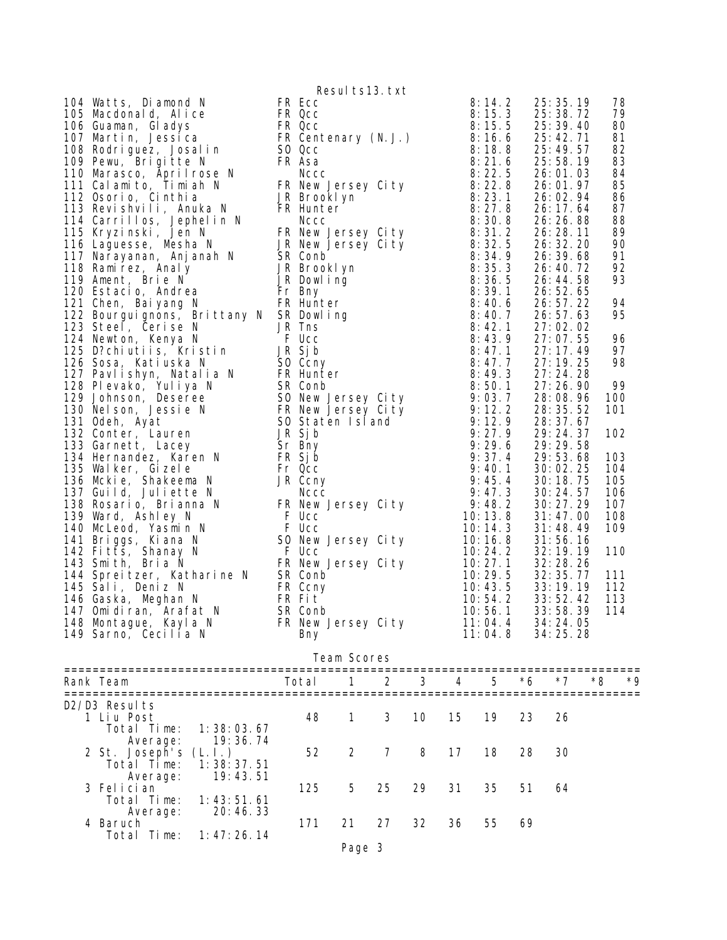|                                                                                                                                                                                                                                                                                                                                 |       | Results13.txt      |    |    |    |                                 |    |                                                                                                                                                                                                                                                                                                                                                                                                                                                                                                                                                                                                                                |                                                                                                                                                                                                                                    |
|---------------------------------------------------------------------------------------------------------------------------------------------------------------------------------------------------------------------------------------------------------------------------------------------------------------------------------|-------|--------------------|----|----|----|---------------------------------|----|--------------------------------------------------------------------------------------------------------------------------------------------------------------------------------------------------------------------------------------------------------------------------------------------------------------------------------------------------------------------------------------------------------------------------------------------------------------------------------------------------------------------------------------------------------------------------------------------------------------------------------|------------------------------------------------------------------------------------------------------------------------------------------------------------------------------------------------------------------------------------|
| 104 Watts, Diamond N<br>105 Macdonald, Alice FR Coc 8:14.2<br>105 Macdonald, Alice FR Coc 8:15.3<br>106 Guaman, Giadys<br>106 Guaman, Giadys<br>107 Martin, Jessica FR Coc 8:15.5<br>108 Rodriguez, Josain FR Coc 8:25.16<br>1109 Pearl, Bri<br>147 Omidiran, Arafat N SR Conb<br>148 Montague, Kayla N<br>149 Sarno, Cecilia N | Bny   | FR New Jersey City |    |    |    | 10: 56. 1<br>11:04.4<br>11:04.8 |    | 25: 35. 19<br>25: 38. 72<br>25: 39. 40<br>25: 42. 71<br>25:49.57<br>25:58.19<br>26:01.03<br>26:01.97<br>26:02.94<br>26: 17. 64<br>26:26.88<br>26: 28. 11<br>26: 32. 20<br>26: 39. 68<br>26:40.72<br>26:44.58<br>26:52.65<br>26:57.22<br>26:57.63<br>27:02.02<br>27:07.55<br>27:17.49<br>27:19.25<br>27:24.28<br>27:26.90<br>28:08.96<br>28: 35. 52<br>28:37.67<br>29: 24. 37<br>29:29.58<br>29:53.68<br>30:02.25<br>30:18.75<br>30: 24. 57<br>30: 27. 29<br>31:47.00<br>31:48.49<br>31:56.16<br>32: 19. 19<br>32: 28. 26<br>10: 29. 5 32: 35. 77<br>10: 43. 5 33: 19. 19<br>33:52.42<br>33:58.39 114<br>34:24.05<br>34: 25. 28 | 78<br>79<br>80<br>81<br>82<br>83<br>84<br>85<br>86<br>87<br>88<br>89<br>90<br>91<br>92<br>93<br>94<br>95<br>96<br>97<br>98<br>99<br>100<br>101<br>102<br>103<br>104<br>105<br>106<br>107<br>108<br>109<br>110<br>111<br>112<br>113 |
|                                                                                                                                                                                                                                                                                                                                 |       | Team Scores        |    |    |    |                                 |    |                                                                                                                                                                                                                                                                                                                                                                                                                                                                                                                                                                                                                                |                                                                                                                                                                                                                                    |
| Rank Team                                                                                                                                                                                                                                                                                                                       | Total | 1                  | 2  | 3  | 4  | 5                               | *6 | $*7$                                                                                                                                                                                                                                                                                                                                                                                                                                                                                                                                                                                                                           | *8<br>*9.                                                                                                                                                                                                                          |
| D2/D3 Results<br>1 Liu Post<br>Total Time:<br>1:38:03.67<br>19:36.74<br>Average:                                                                                                                                                                                                                                                | 48    | 1                  | 3  | 10 | 15 | 19                              | 23 | 26                                                                                                                                                                                                                                                                                                                                                                                                                                                                                                                                                                                                                             |                                                                                                                                                                                                                                    |
| 2 St. Joseph's<br>(L, l, )<br>1:38:37.51<br>Total Time:<br>19:43.51<br>Average:                                                                                                                                                                                                                                                 | 52    | 2                  | 7  | 8  | 17 | 18                              | 28 | 30                                                                                                                                                                                                                                                                                                                                                                                                                                                                                                                                                                                                                             |                                                                                                                                                                                                                                    |
| 3 Felician<br>1: 43: 51.61<br>Total Time:<br>Average:<br>20:46.33                                                                                                                                                                                                                                                               | 125   | 5                  | 25 | 29 | 31 | 35                              | 51 | 64                                                                                                                                                                                                                                                                                                                                                                                                                                                                                                                                                                                                                             |                                                                                                                                                                                                                                    |
| 4 Baruch<br>Total Time:<br>1: 47: 26.14                                                                                                                                                                                                                                                                                         | 171   | 21                 | 27 | 32 | 36 | 55                              | 69 |                                                                                                                                                                                                                                                                                                                                                                                                                                                                                                                                                                                                                                |                                                                                                                                                                                                                                    |
|                                                                                                                                                                                                                                                                                                                                 |       | Page 3             |    |    |    |                                 |    |                                                                                                                                                                                                                                                                                                                                                                                                                                                                                                                                                                                                                                |                                                                                                                                                                                                                                    |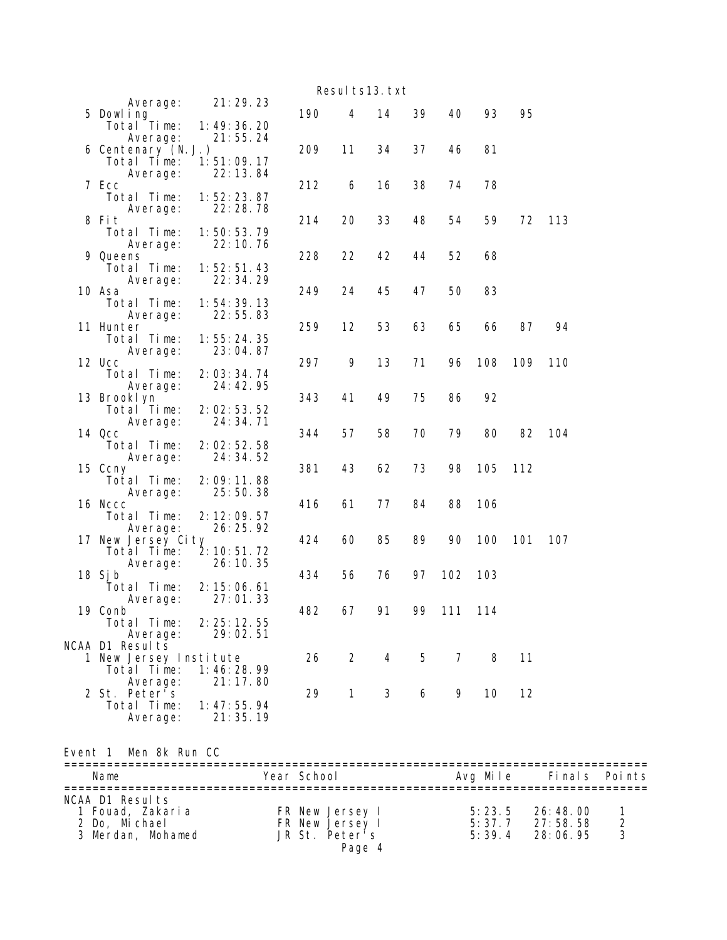|                                   |                           |     |              | Resul ts13. txt |    |        |     |     |     |
|-----------------------------------|---------------------------|-----|--------------|-----------------|----|--------|-----|-----|-----|
| Average:                          | 21:29.23                  |     |              |                 |    |        |     |     |     |
| 5 Dowl ing                        |                           | 190 | 4            | 14              | 39 | 40     | 93  | 95  |     |
| Total Time:<br>Average:           | 1: 49: 36. 20<br>21:55.24 |     |              |                 |    |        |     |     |     |
| 6 Centenary (N.J.)                |                           | 209 | 11           | 34              | 37 | 46     | 81  |     |     |
| Total Time:                       | 1:51:09.17                |     |              |                 |    |        |     |     |     |
| Average:                          | 22:13.84                  |     |              |                 |    |        |     |     |     |
| 7 Ecc                             |                           | 212 | 6            | 16              | 38 | 74     | 78  |     |     |
| Total Time:<br>Average:           | 1:52:23.87<br>22:28.78    |     |              |                 |    |        |     |     |     |
| 8 Fit                             |                           | 214 | 20           | 33              | 48 | 54     | 59  | 72  | 113 |
| Total Time:                       | 1:50:53.79                |     |              |                 |    |        |     |     |     |
| Average:                          | 22: 10. 76                |     |              |                 |    |        |     |     |     |
| 9 Queens                          | 1:52:51.43                | 228 | 22           | 42              | 44 | 52     | 68  |     |     |
| Total Time:<br>Average:           | 22: 34. 29                |     |              |                 |    |        |     |     |     |
| 10 Asa                            |                           | 249 | 24           | 45              | 47 | 50     | 83  |     |     |
| Total Time:                       | 1: 54: 39. 13             |     |              |                 |    |        |     |     |     |
| Average:                          | 22:55.83                  |     |              |                 |    |        |     |     |     |
| 11 Hunter<br>Total Time:          | 1:55:24.35                | 259 | 12           | 53              | 63 | 65     | 66  | 87  | 94  |
| Average:                          | 23:04.87                  |     |              |                 |    |        |     |     |     |
| 12 Ucc                            |                           | 297 | 9            | 13              | 71 | 96     | 108 | 109 | 110 |
| Total Time:                       | 2:03:34.74                |     |              |                 |    |        |     |     |     |
| Average:                          | 24:42.95                  |     |              |                 |    |        |     |     |     |
| 13 Brooklyn<br>Total Time:        | 2:02:53.52                | 343 | 41           | 49              | 75 | 86     | 92  |     |     |
| Average:                          | 24:34.71                  |     |              |                 |    |        |     |     |     |
| 14 Qcc                            |                           | 344 | 57           | 58              | 70 | 79     | 80  | 82  | 104 |
| Total Time:                       | 2:02:52.58                |     |              |                 |    |        |     |     |     |
| Average:                          | 24: 34. 52                |     |              |                 |    |        |     |     |     |
| 15 Ccny<br>Total Time:            | 2:09:11.88                | 381 | 43           | 62              | 73 | 98     | 105 | 112 |     |
| Average:                          | 25:50.38                  |     |              |                 |    |        |     |     |     |
| 16 Nccc                           |                           | 416 | 61           | 77              | 84 | 88     | 106 |     |     |
| Total Time:                       | 2: 12: 09.57              |     |              |                 |    |        |     |     |     |
| Average:                          | 26:25.92                  |     |              |                 |    |        | 100 | 101 |     |
| 17 New Jersey City<br>Total Time: | 2: 10: 51.72              | 424 | 60           | 85              | 89 | 90     |     |     | 107 |
| Average:                          | 26:10.35                  |     |              |                 |    |        |     |     |     |
| 18 Sj b                           |                           | 434 | 56           | 76              | 97 | 102    | 103 |     |     |
| Total Time:                       | 2: 15: 06.61              |     |              |                 |    |        |     |     |     |
| Average:                          | 27:01.33                  |     |              |                 |    |        | 114 |     |     |
| 19 Conb<br>Total Time:            | 2: 25: 12. 55             | 482 | 67           | 91              |    | 99 111 |     |     |     |
| Average:                          | 29:02.51                  |     |              |                 |    |        |     |     |     |
| NCAA D1 Results                   |                           |     |              |                 |    |        |     |     |     |
| 1 New Jersey Institute            |                           | 26  | $\mathbf{2}$ | 4               | 5  | 7      | 8   | 11  |     |
| Total Time:                       | 1:46:28.99                |     |              |                 |    |        |     |     |     |
| Average:<br>2 St. Peter's         | 21:17.80                  | 29  | $\mathbf{1}$ | 3               | 6  | 9      | 10  | 12  |     |
| Total Time:                       | 1: 47: 55.94              |     |              |                 |    |        |     |     |     |
| Average:                          | 21:35.19                  |     |              |                 |    |        |     |     |     |

Event 1 Men 8k Run CC

| Name                                                                      | Year School                                                    | Avg Mile                   | Finals Points                      |                     |
|---------------------------------------------------------------------------|----------------------------------------------------------------|----------------------------|------------------------------------|---------------------|
| NCAA D1 Results<br>1 Fouad, Zakaria<br>2 Do, Michael<br>3 Merdan, Mohamed | FR New Jersey I<br>FR New Jersey I<br>JR St. Peter's<br>Page 4 | 5:23.5<br>5:37.7<br>5:39.4 | 26: 48. 00<br>27:58.58<br>28:06.95 | $\mathcal{P}$<br>-3 |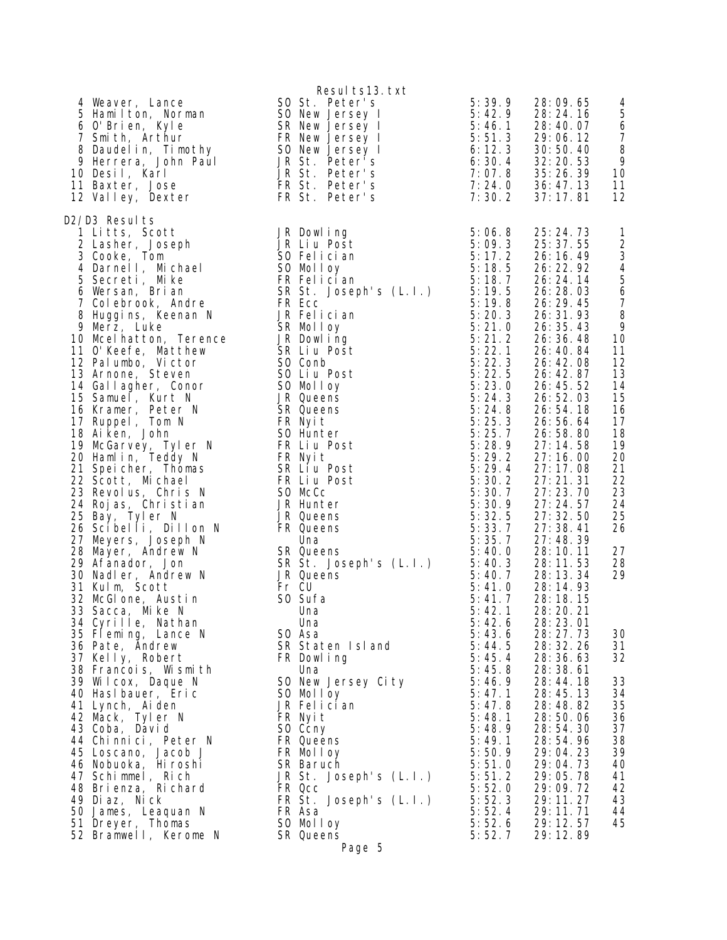| 4 Weaver, Lance<br>10 Desil, Karl                                                                                                                                                                                                                                                                                                                                                                                                                                                                                                                                                                                                                                                                                                                                                                                                                                                                                                                                                                                                                                                                                                                                                                                                                                                                                                      | Resul ts13. txt<br>SO St. Peter's<br>1 Baxter, John Paul<br>1 Belant I ton, Norman<br>1 SO New Jersey I<br>5:42.9 28:24.16<br>5:42.9 28:24.16<br>5:42.9 28:24.16<br>5:42.9 28:24.16<br>5:42.9 28:24.16<br>5:42.9 28:24.16<br>5:51.3 29:06.12<br>5:51.3 29:06.12<br>5:51.3 29:06.12<br>5:51.                                                                                                                                                                                                                                                                                                                                                                                                                                                                                                                                                                                                                                                                                                                                 | 5:39.9                                                                                                                                                                                                                                                                                                                                                           | 28:09.65<br>5: 42. 9 28: 24. 16<br>5: 46. 1 28: 40. 07<br>5: 51. 3 29: 06. 12<br>6: 12. 3 30: 50. 40<br>6: 30. 4 32: 20. 53<br>7: 07. 8 35: 24. 31                                                                                                                                                                                                                                                                                                                                                                                                                                                                                                                  | 4<br>5<br>$\boldsymbol{6}$<br>$\overline{7}$<br>8<br>9<br>10                                                                                                                                                                                                                                                                                                                 |
|----------------------------------------------------------------------------------------------------------------------------------------------------------------------------------------------------------------------------------------------------------------------------------------------------------------------------------------------------------------------------------------------------------------------------------------------------------------------------------------------------------------------------------------------------------------------------------------------------------------------------------------------------------------------------------------------------------------------------------------------------------------------------------------------------------------------------------------------------------------------------------------------------------------------------------------------------------------------------------------------------------------------------------------------------------------------------------------------------------------------------------------------------------------------------------------------------------------------------------------------------------------------------------------------------------------------------------------|-----------------------------------------------------------------------------------------------------------------------------------------------------------------------------------------------------------------------------------------------------------------------------------------------------------------------------------------------------------------------------------------------------------------------------------------------------------------------------------------------------------------------------------------------------------------------------------------------------------------------------------------------------------------------------------------------------------------------------------------------------------------------------------------------------------------------------------------------------------------------------------------------------------------------------------------------------------------------------------------------------------------------------|------------------------------------------------------------------------------------------------------------------------------------------------------------------------------------------------------------------------------------------------------------------------------------------------------------------------------------------------------------------|---------------------------------------------------------------------------------------------------------------------------------------------------------------------------------------------------------------------------------------------------------------------------------------------------------------------------------------------------------------------------------------------------------------------------------------------------------------------------------------------------------------------------------------------------------------------------------------------------------------------------------------------------------------------|------------------------------------------------------------------------------------------------------------------------------------------------------------------------------------------------------------------------------------------------------------------------------------------------------------------------------------------------------------------------------|
| 11 Baxter, Jose<br>12 Valley, Dexter                                                                                                                                                                                                                                                                                                                                                                                                                                                                                                                                                                                                                                                                                                                                                                                                                                                                                                                                                                                                                                                                                                                                                                                                                                                                                                   | FR St. Peter's                                                                                                                                                                                                                                                                                                                                                                                                                                                                                                                                                                                                                                                                                                                                                                                                                                                                                                                                                                                                              | 7:30.2                                                                                                                                                                                                                                                                                                                                                           | 37:17.81                                                                                                                                                                                                                                                                                                                                                                                                                                                                                                                                                                                                                                                            | 11<br>12                                                                                                                                                                                                                                                                                                                                                                     |
| D2/D3 Results<br>27 D3 Results<br>2 Lasher, Joseph JR Dowling<br>3 Cooke, Tom S0 Felician<br>4 Darnell, Michael S0 Molloy<br>5 Secreti, Mike FR Felician<br>6 Wersan, Brian SR St. Josep<br>7 Colebrook, Andre FR Ecc<br>7 Colebrook, Andre<br>7 Corebrook, Andre<br>8 Huggins, Keenan N<br>9 Merz, Luke<br>10 Mcelhatton, Terence<br>11 O'Keefe, Matthew<br>11 O'Keefe, Matthew<br>12 Palumbo, Victor<br>13 Arnone, Steven<br>14 Gallagher, Conor<br>15 Samuel, Kurt N<br>16 Kramor, Potor N<br>16 Kramer, Peter N<br>17 Ruppel, Tom N<br>18 Ai ken, John<br>19 McGarvey, Tyler N<br>20 Hamlin, Teddy N<br>21 Speicher, Thomas<br>22 Scott, Michael<br>23 Revolus, Chris N<br>24 Rojas, Christian<br>25 Bay, Tyler N<br>23 Bay, Tyter N<br>26 Scibelli, Dillon N<br>27 Meyers, Joseph N<br>28 Mayer, Andrew N<br>39 Afanador, Jon<br>30 Nadler, Andrew N<br>31 Kulm Scott<br>31 Kulm, Scott<br>32 McGlone, Austin<br>33 Sacca, Mike N<br>34 Cyrille, Nathan<br>35 Fleming, Lance N<br>36 Pate, Andrew<br>37 Kelly, Robert<br>38 Francois, Wismith<br>39 Wilcox, Daque N<br>40 Haslbauer, Eric<br>41 Lynch, Aiden<br>42 Mack, Tyler N<br>43 Coba, David<br>44 Chinnici, Peter N<br>45 Loscano, Jacob J<br>46 Nobuoka, Hiroshi<br>47 Schimmel, Rich<br>48 Brienza, Richard<br>49 Diaz, Nick<br>50 James, Leaquan N<br>51 Dreyer, Thomas | 5: 09. 3<br>SO Felician<br>SO Molloy<br>FR Felician<br>SR St. Joseph's (L. I.)<br>FR Ecc<br>JR Felician<br>SR Molloy<br>SR Molloy<br>JR Dowling<br>SR Liu Post<br>SR Liu Post<br>SR Liu Post<br>SR Conb<br>SR 21. 2<br>SQ Conb<br>SR 22. 1<br>SQ 5: 21. 2<br>SQ Co<br>SO Conb<br>SO Liu Post<br>SO Molloy<br>JR Queens<br>SR Queens<br>FR Nyit<br>SO Hunter<br>FR Liu Post<br>FR Nyit<br>SR Lİ̃u Post<br>FR Liụ Post<br>SO McCc<br>JR Hunter<br>JR Queens<br>FR Queens<br>FR Queens<br>Una<br>S. 33. 7<br>SR Queens<br>S. 35. 7<br>SR Queens<br>S. 35. 7<br>5: 35. 7<br>5: 40. 0<br>SR St. Joseph's (L. I.)<br>5: 40. 3<br>JR Queens<br>5: 40. 3<br>5: 40. 7<br>5: 40. 7<br>5: 40. 7<br>5: 40. 7<br>Fr CU<br>SO Sufa<br>Una<br>Una<br>SO Asa<br>SU Asa<br>SR Staten Island<br>FR Dowling<br>Ilna<br>19 5:45.4<br>5:45.8<br>SO New Jersey City<br>SO Molloy<br>JR Felician<br>FR Nyit<br>SO Ccny<br>FR Queens<br>FR Molloy<br>SR Baruch<br>JR St. Joseph's (L.I.)<br>FR Qcc<br>FR St. Joseph's (L.I.)<br>FR Asa<br>SO Molloy | 5: 06. 8<br>5: 09. 3<br>5:06.8<br>5:22.3<br>5:22.5<br>5:23.0<br>5:24.3<br>5:24.8<br>5:25.3<br>5:25.7<br>5:28.9<br>5:29.2<br>5:29.4<br>5:30.2<br>5:30.7<br>5:30.9<br>5:32.5<br>5: 41.0<br>5: 41.7<br>5:42.1<br>5:42.6<br>5:43.6<br>5:46.9<br>5:47.1<br>5:47.8<br>5:48.1<br>5:48.9<br>5:49.1<br>5:50.9<br>5:51.0<br>5:51.2<br>5:52.0<br>5:52.3<br>5:52.4<br>5:52.6 | 25: 24. 73<br>25: 37.55<br>26:16.49<br>26: 22. 92<br>26: 24. 14<br>26: 28. 03<br>26: 29. 45<br>26: 31. 93<br>26: 35. 43<br>26:36.48<br>26: 40. 84<br>26: 42. 08<br>26: 42. 87<br>26: 45. 52<br>26:52.03<br>26:54.18<br>26:56.64<br>26:58.80<br>27:14.58<br>27:16.00<br>27:17.08<br>27:21.31<br>27:23.70<br>27:24.57<br>27:32.50<br>27:38.41<br>27:48.39<br>28:10.11<br>28:11.53<br>28:13.34<br>28:14.93<br>28:18.15<br>28:20.21<br>28:23.01<br>28: 27. 73<br>28: 32. 26<br>28:36.63<br>28: 38. 61<br>28:44.18<br>28:45.13<br>28:48.82<br>28:50.06<br>28:54.30<br>28:54.96<br>29:04.23<br>29:04.73<br>29:05.78<br>29:09.72<br>29: 11. 27<br>29: 11. 71<br>29: 12. 57 | $\mathbf{1}$<br>$\overline{2}$<br>$\ensuremath{\mathsf{3}}$<br>$\overline{4}$<br>$\begin{array}{c} 5 \\ 6 \end{array}$<br>$\boldsymbol{7}$<br>8<br>9<br>10<br>11<br>12<br>13<br>14<br>15<br>16<br>17<br>18<br>19<br>20<br>21<br>22<br>23<br>24<br>25<br>26<br>27<br>28<br>29<br>30<br>31<br>32<br>33<br>34<br>35<br>36<br>37<br>38<br>39<br>40<br>41<br>42<br>43<br>44<br>45 |
| 52 Bramwell, Kerome N                                                                                                                                                                                                                                                                                                                                                                                                                                                                                                                                                                                                                                                                                                                                                                                                                                                                                                                                                                                                                                                                                                                                                                                                                                                                                                                  | SR Queens<br>Page 5                                                                                                                                                                                                                                                                                                                                                                                                                                                                                                                                                                                                                                                                                                                                                                                                                                                                                                                                                                                                         | 5:52.7                                                                                                                                                                                                                                                                                                                                                           | 29:12.89                                                                                                                                                                                                                                                                                                                                                                                                                                                                                                                                                                                                                                                            |                                                                                                                                                                                                                                                                                                                                                                              |

Page 5

| suits is. txt<br>Peter's<br>Jersey I<br>Jersey I<br>Jersey I<br>Jersey I<br>Peter's<br>Peter'<br>S<br>Peter's<br>Peter's                       | 5:39.9<br>5:42.9<br>5:46.1<br>5:51.3<br>6:12.3<br>6:30.4<br>7:07.8<br>7: 24. 0<br>7:30.2                                                                                                                                   | 28:09.65<br>28:24.16<br>28:40.07<br>29:06.12<br>30:50.40<br>32: 20. 53<br>35:26.39<br>36:47.13<br>37: 17. 81                                                                                                                                                                         | 4<br>$\sqrt{5}$<br>$\boldsymbol{6}$<br>$\overline{7}$<br>8<br>9<br>10<br>11<br>12                                                                                                         |
|------------------------------------------------------------------------------------------------------------------------------------------------|----------------------------------------------------------------------------------------------------------------------------------------------------------------------------------------------------------------------------|--------------------------------------------------------------------------------------------------------------------------------------------------------------------------------------------------------------------------------------------------------------------------------------|-------------------------------------------------------------------------------------------------------------------------------------------------------------------------------------------|
| i ng<br>Post<br>ci an<br>оу<br>ci an<br>Joseph's (L.I.)<br>ci an<br>oy<br>i ng<br>Post<br>Post<br>оу<br>ns<br>ns<br>er<br>Post<br>Post<br>Post | 5: 06. 8<br>5:09.3<br>5:17.2<br>5:18.5<br>5:18.7<br>5:19.5<br>5:19.8<br>5:20.3<br>5:21.0<br>5:21.2<br>5:22.1<br>5:22.3<br>5:22.5<br>5:23.0<br>5:24.3<br>5:24.8<br>5:25.3<br>5:25.7<br>5:28.9<br>5:29.2<br>5:29.4<br>5:30.2 | 25: 24. 73<br>25: 37.55<br>26:16.49<br>26: 22. 92<br>26:24.14<br>26:28.03<br>26: 29. 45<br>26: 31.93<br>26: 35. 43<br>26: 36. 48<br>26:40.84<br>26:42.08<br>26: 42. 87<br>26:45.52<br>26:52.03<br>26: 54. 18<br>26:56.64<br>26:58.80<br>27:14.58<br>27:16.00<br>27:17.08<br>27:21.31 | $\mathbf{1}$<br>$\frac{2}{3}$<br>$\overline{\mathbf{4}}$<br>5<br>$\overline{6}$<br>$\overline{7}$<br>8<br>9<br>10<br>11<br>12<br>13<br>14<br>15<br>16<br>17<br>18<br>19<br>20<br>21<br>22 |
| er<br>ns<br>ns                                                                                                                                 | 5:30.7<br>5:30.9<br>5:32.5<br>5:33.7<br>5:35.7                                                                                                                                                                             | 27:23.70<br>27:24.57<br>27:32.50<br>27:38.41<br>27:48.39                                                                                                                                                                                                                             | 23<br>24<br>25<br>26                                                                                                                                                                      |
| ns<br>Joseph's (L.I.)<br>ns                                                                                                                    | 5:40.0<br>5:40.3<br>5:40.7<br>5: 41.0<br>5: 41.7<br>5: 42. 1<br>5:42.6                                                                                                                                                     | 28:10.11<br>28:11.53<br>28: 13. 34<br>28:14.93<br>28: 18. 15<br>28:20.21<br>28:23.01                                                                                                                                                                                                 | 27<br>28<br>29                                                                                                                                                                            |
| en Island<br>i ng                                                                                                                              | 5:43.6<br>5:44.5<br>5:45.4<br>5:45.8                                                                                                                                                                                       | 28:27.73<br>28: 32. 26<br>28:36.63<br>28:38.61                                                                                                                                                                                                                                       | 30<br>31<br>32                                                                                                                                                                            |
| Jersey City<br>оу<br>ci an                                                                                                                     | 5:46.9<br>5:47.1<br>5:47.8<br>5:48.1<br>5:48.9                                                                                                                                                                             | 28:44.18<br>28:45.13<br>28:48.82<br>28:50.06<br>28:54.30                                                                                                                                                                                                                             | 33<br>34<br>35<br>36<br>37                                                                                                                                                                |
| ns<br>оу<br>ch<br>Joseph's (L.I.)                                                                                                              | 5:49.1<br>5:50.9<br>5:51.0<br>5:51.2                                                                                                                                                                                       | 28:54.96<br>29:04.23<br>29:04.73<br>29:05.78                                                                                                                                                                                                                                         | 38<br>39<br>40<br>41                                                                                                                                                                      |
| Joseph's (L.I.)                                                                                                                                | 5:52.0<br>5:52.3<br>5:52.4                                                                                                                                                                                                 | 29:09.72<br>29:11.27<br>29: 11. 71                                                                                                                                                                                                                                                   | 42<br>43<br>44                                                                                                                                                                            |
| oу<br>ns<br>D.                                                                                                                                 | 5:52.6<br>5:52.7                                                                                                                                                                                                           | 29: 12. 57<br>29:12.89                                                                                                                                                                                                                                                               | 45                                                                                                                                                                                        |
|                                                                                                                                                |                                                                                                                                                                                                                            |                                                                                                                                                                                                                                                                                      |                                                                                                                                                                                           |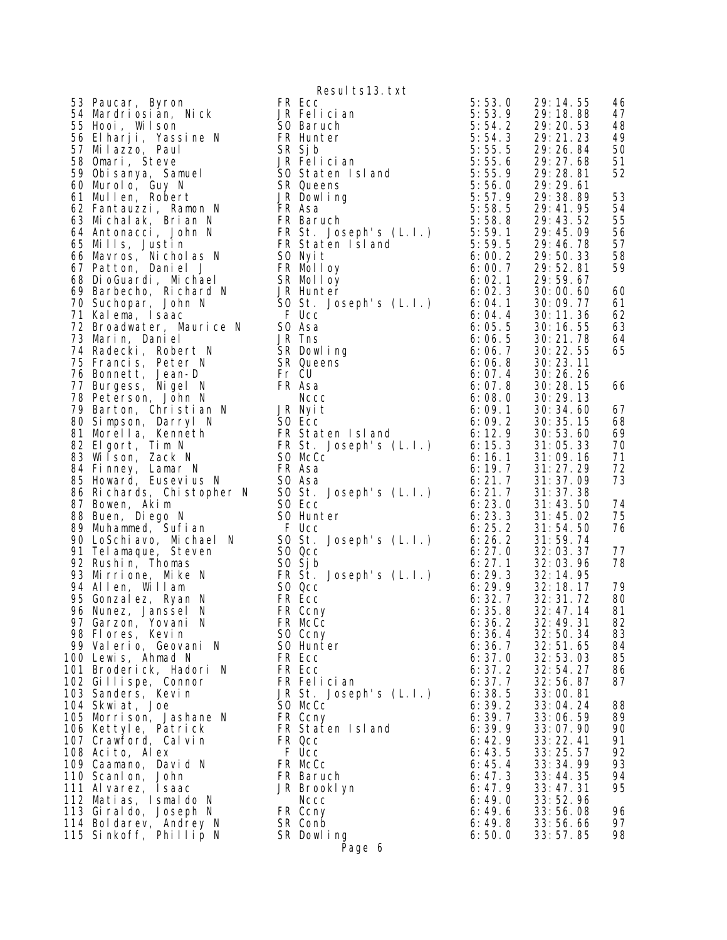Resul ts13. txt 53 Paucar, Byron **FR Ecc** 5:53.0 29:14.55 46 54 Mardriosian, Nick JR Felician 5:53.9 29:18.88 47 55 Hooi, Wilson SO Baruch 5:54.2 29:20.53 48 56 Elharji, Yassine N FR Hunter 5:54.3 29:21.23 49 57 Milazzo, Paul SR Sjb 5:55.5 29:26.84 50 58 Omari, Steve JR Felician 5:55.6 29:27.68 51 59 Obisanya, Samuel SO Staten Island 5:55.9 29:28.81 52 60 Murolo, Guy N SR Queens 5:56.0 29:29.61 61 Mullen, Robert JR Dowling 5:57.9 29:38.89 53 62 Fantauzzi, Ramon N FR Asa 5:58.5 29:41.95 54 63 Michalak, Brian N FR Baruch 5:58.8 29:43.52 55 64 Antonacci, John N FR St. Joseph's (L.I.) 5:59.1 29:45.09 56 65 Mills, Justin FR Staten Island 5:59.5 29:46.78 57 66 Mavros, Nicholas N SO Nyit 6:00.2 29:50.33 58 67 Patton, Daniel J FR Molloy 6:00.7 29:52.81 59 68 DioGuardi, Michael SR Molloy 6:02.1 29:59.67 69 Barbecho, Richard N JR Hunter 6:02.3 30:00.60 60 70 Suchopar, John N SO St. Joseph's (L.I.) 6:04.1 30:09.77 61 71 Kalema, Isaac F Ucc 6:04.4 30:11.36 62 72 Broadwater, Maurice N SO Asa 6:05.5 30:16.55 63 1 Kalema, Isaac + Ucc 6:072 Broadwater, Maurice N<br>
73 Marin, Daniel JR Tns 6:06<br>
74 Radecki, Robert N<br>
75 Francis, Peter N<br>
76 Bonnett, Jean-D<br>
76 Bonnett, Jean-D<br>
77 Burgess, Nigel N<br>
77 Burgess, Nigel N<br>
8:06<br>
8:06<br>
8:06 74 Radecki, Robert N SR Dowling 6:06.7 30:22.55 65 75 Francis, Peter N SR Queens 6:06.8 30:23.11 76 Bonnett, Jean-D Fr CU 6:07.4 30:26.26 77 Burgess, Nigel N FR Asa 6:07.8 30:28.15 66 78 Peterson, John N Nccc 6:08.0 30:29.13 79 Barton, Christian N JR Nyit 6:09.1 30:34.60 67 80 Simpson, Darryl N SO Ecc 6:09.2 30:35.15 68 81 Morella, Kenneth FR Staten Island 6:12.9 30:53.60 69 82 Elgort, Tim N FR St. Joseph's (L.I.) 6:15.3 31:05.33 70 83 Wilson, Zack N SO McCc 6:16.1 31:09.16 71 84 Finney, Lamar N FR Asa 6:19.7 31:27.29 72 85 Howard, Eusevius N SO Asa 6:21.7 31:37.09 73 86 Richards, Chistopher N SO St. Joseph's (L.I.) 6:21.7 31:37.38 87 Bowen, Akim SO Ecc 6:23.0 31:43.50 74 88 Buen, Diego N SO Hunter 6:23.3 31:45.02 75 89 Muhammed, Sufian F Ucc 6:25.2 31:54.50 76 90 LoSchiavo, Michael N SO St. Joseph's (L.I.) 6:26.2 31:59.74 91 Telamaque, Steven SO Qcc 6:27.0 32:03.37 77 92 Rushin, Thomas SO Sjb 6:27.1 32:03.96 78 93 Mirrione, Mike N FR St. Joseph's (L.I.) 6:29.3 32:14.95 94 Allen, Willam SO Qcc 6:29.9 32:18.17 79 95 Gonzalez, Ryan N FR Ecc 6:32.7 32:31.72 80 96 Nunez, Janssel N FR Ccny 6:35.8 32:47.14 81 97 Garzon, Yovani N FR McCc 6:36.2 32:49.31 82 98 Flores, Kevin SO Ccny 6:36.4 32:50.34 83 99 Valerio, Geovani N SO Hunter 6:36.7 32:51.65 84 100 Lewis, Ahmad N FR Ecc 6:37.0 32:53.03 85 101 Broderick, Hadori N FR Ecc 6:37.2 32:54.27 86 102 Gillispe, Connor FR Felician 6:37.7 32:56.87 87 103 Sanders, Kevin JR St. Joseph's (L.I.) 6:38.5 33:00.81 104 Skwiat, Joe SO McCc 6:39.2 33:04.24 88 105 Morrison, Jashane N FR Ccny 6:39.7 33:06.59 89 106 Kettyle, Patrick FR Staten Island 6:39.9 33:07.90 90 107 Crawford, Calvin FR Qcc 6:42.9 33:22.41 91 108 Acito, Alex F Ucc 6:43.5 33:25.57 92 109 Caamano, David N FR McCc 6:45.4 33:34.99 93 110 Scanlon, John FR Baruch 6:47.3 33:44.35 94 111 Alvarez, Isaac JR Brooklyn 6:47.9 33:47.31 95 112 Matias, Ismaldo N Nccc 6:49.0 33:52.96 113 Giraldo, Joseph N FR Ccny 6:49.6 33:56.08 96 114 Boldarev, Andrey N SR Conb 6:49.8 33:56.66 97 115 Sinkoff, Phillip N SR Dowling 6:50.0 33:57.85 98 Page 6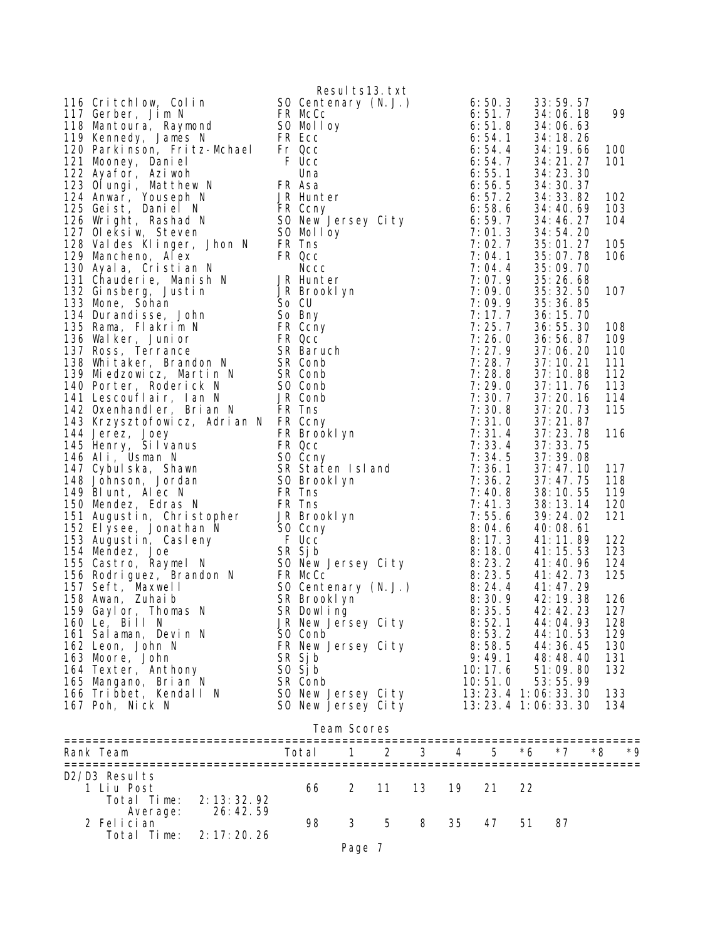| 116 Critchlow, Colin By Result 513, txt (2011)<br>117 Gentenary (N.J.) 6550, 3<br>117 Gentenary (N.J.) 6550, 3<br>117 Gentenary (N.J.) 6550, 3<br>117 Gentenary (N.J.) 6551, 5<br>117 Gentenary (N.J.) 6551, 5<br>117 Kennedy, James N.<br>1 |                    |             |    |    |    |                         |    | 33:59.57                 |    |            |
|----------------------------------------------------------------------------------------------------------------------------------------------------------------------------------------------------------------------------------------------|--------------------|-------------|----|----|----|-------------------------|----|--------------------------|----|------------|
|                                                                                                                                                                                                                                              |                    |             |    |    |    |                         |    | 34:06.18                 |    | 99         |
|                                                                                                                                                                                                                                              |                    |             |    |    |    |                         |    | 34:06.63<br>34: 18. 26   |    |            |
|                                                                                                                                                                                                                                              |                    |             |    |    |    |                         |    | 34: 19. 66               |    | 100        |
|                                                                                                                                                                                                                                              |                    |             |    |    |    |                         |    | 34: 21. 27               |    | 101        |
|                                                                                                                                                                                                                                              |                    |             |    |    |    |                         |    | 34: 23. 30               |    |            |
|                                                                                                                                                                                                                                              |                    |             |    |    |    |                         |    | 34: 30. 37<br>34: 33. 82 |    | 102        |
|                                                                                                                                                                                                                                              |                    |             |    |    |    |                         |    | 34:40.69                 |    | 103        |
|                                                                                                                                                                                                                                              |                    |             |    |    |    |                         |    | 34:46.27                 |    | 104        |
|                                                                                                                                                                                                                                              |                    |             |    |    |    |                         |    | 34: 54. 20               |    |            |
|                                                                                                                                                                                                                                              |                    |             |    |    |    |                         |    | 35:01.27<br>35:07.78     |    | 105<br>106 |
|                                                                                                                                                                                                                                              |                    |             |    |    |    |                         |    | 35:09.70                 |    |            |
|                                                                                                                                                                                                                                              |                    |             |    |    |    |                         |    | 35:26.68                 |    |            |
|                                                                                                                                                                                                                                              |                    |             |    |    |    |                         |    | 35: 32.50                |    | 107        |
|                                                                                                                                                                                                                                              |                    |             |    |    |    |                         |    | 35: 36. 85<br>36: 15. 70 |    |            |
|                                                                                                                                                                                                                                              |                    |             |    |    |    |                         |    | 36:55.30                 |    | 108        |
|                                                                                                                                                                                                                                              |                    |             |    |    |    |                         |    | 36:56.87                 |    | 109        |
|                                                                                                                                                                                                                                              |                    |             |    |    |    |                         |    | 37:06.20                 |    | 110        |
|                                                                                                                                                                                                                                              |                    |             |    |    |    |                         |    | 37:10.21<br>37: 10.88    |    | 111<br>112 |
|                                                                                                                                                                                                                                              |                    |             |    |    |    |                         |    | 37:11.76                 |    | 113        |
|                                                                                                                                                                                                                                              |                    |             |    |    |    |                         |    | 37:20.16                 |    | 114        |
|                                                                                                                                                                                                                                              |                    |             |    |    |    |                         |    | 37:20.73                 |    | 115        |
|                                                                                                                                                                                                                                              |                    |             |    |    |    |                         |    | 37:21.87<br>37: 23. 78   |    | 116        |
|                                                                                                                                                                                                                                              |                    |             |    |    |    |                         |    | 37:33.75                 |    |            |
|                                                                                                                                                                                                                                              |                    |             |    |    |    |                         |    | 37:39.08                 |    |            |
|                                                                                                                                                                                                                                              |                    |             |    |    |    |                         |    | 37: 47. 10               |    | 117        |
|                                                                                                                                                                                                                                              |                    |             |    |    |    |                         |    | 37:47.75<br>38:10.55     |    | 118<br>119 |
|                                                                                                                                                                                                                                              |                    |             |    |    |    |                         |    | 38: 13. 14               |    | 120        |
|                                                                                                                                                                                                                                              |                    |             |    |    |    |                         |    | 39: 24. 02               |    | 121        |
|                                                                                                                                                                                                                                              |                    |             |    |    |    |                         |    | 40:08.61                 |    |            |
|                                                                                                                                                                                                                                              |                    |             |    |    |    |                         |    | 41: 11. 89<br>41: 15. 53 |    | 122<br>123 |
|                                                                                                                                                                                                                                              |                    |             |    |    |    |                         |    | 41: 40. 96               |    | 124        |
|                                                                                                                                                                                                                                              |                    |             |    |    |    |                         |    | 41: 42. 73               |    | 125        |
|                                                                                                                                                                                                                                              |                    |             |    |    |    |                         |    | 41: 47. 29               |    |            |
|                                                                                                                                                                                                                                              |                    |             |    |    |    |                         |    | 42: 19. 38<br>42: 42. 23 |    | 126<br>127 |
| 160 Le, Bill N                                                                                                                                                                                                                               | JR New Jersey City |             |    |    |    | 8:52.1                  |    | 44:04.93                 |    | 128        |
| 161 Salaman, Devin N                                                                                                                                                                                                                         | SO Conb            |             |    |    |    | 8:53.2                  |    | 44: 10. 53               |    | 129        |
| 162 Leon, John N                                                                                                                                                                                                                             | FR New Jersey City |             |    |    |    | 8:58.5                  |    | 44: 36. 45               |    | 130        |
| 163 Moore, John<br>164 Texter, Anthony                                                                                                                                                                                                       | SR Sjb<br>SO Sj b  |             |    |    |    | 9:49.1<br>10:17.6       |    | 48:48.40<br>51:09.80     |    | 131<br>132 |
| 165 Mangano, Brian N                                                                                                                                                                                                                         | SR Conb            |             |    |    |    | 10:51.0                 |    | 53:55.99                 |    |            |
| 166 Tribbet, Kendall N                                                                                                                                                                                                                       | SO New Jersey City |             |    |    |    | 13: 23. 4 1: 06: 33. 30 |    |                          |    | 133        |
| 167 Poh, Nick N                                                                                                                                                                                                                              | SO New Jersey City |             |    |    |    | 13:23.4 1:06:33.30      |    |                          |    | 134        |
|                                                                                                                                                                                                                                              |                    | Team Scores |    |    |    |                         |    |                          |    |            |
|                                                                                                                                                                                                                                              |                    |             |    |    |    |                         |    |                          |    |            |
| Rank Team                                                                                                                                                                                                                                    | Total              | 1           | 2  | 3  | 4  | 5                       | *6 | $*7$                     | *8 | ∗q         |
| D2/D3 Results                                                                                                                                                                                                                                |                    |             |    |    |    |                         |    |                          |    |            |
| 1 Liu Post                                                                                                                                                                                                                                   | 66                 | 2           | 11 | 13 | 19 | 21                      | 22 |                          |    |            |
| 2: 13: 32. 92<br>Total Time:<br>26:42.59<br>Average:                                                                                                                                                                                         |                    |             |    |    |    |                         |    |                          |    |            |
| 2 Felician                                                                                                                                                                                                                                   | 98                 | 3           | 5  | 8  | 35 | 47                      | 51 | 87                       |    |            |
| Total Time:<br>2: 17: 20.26                                                                                                                                                                                                                  |                    |             |    |    |    |                         |    |                          |    |            |
|                                                                                                                                                                                                                                              |                    | Page 7      |    |    |    |                         |    |                          |    |            |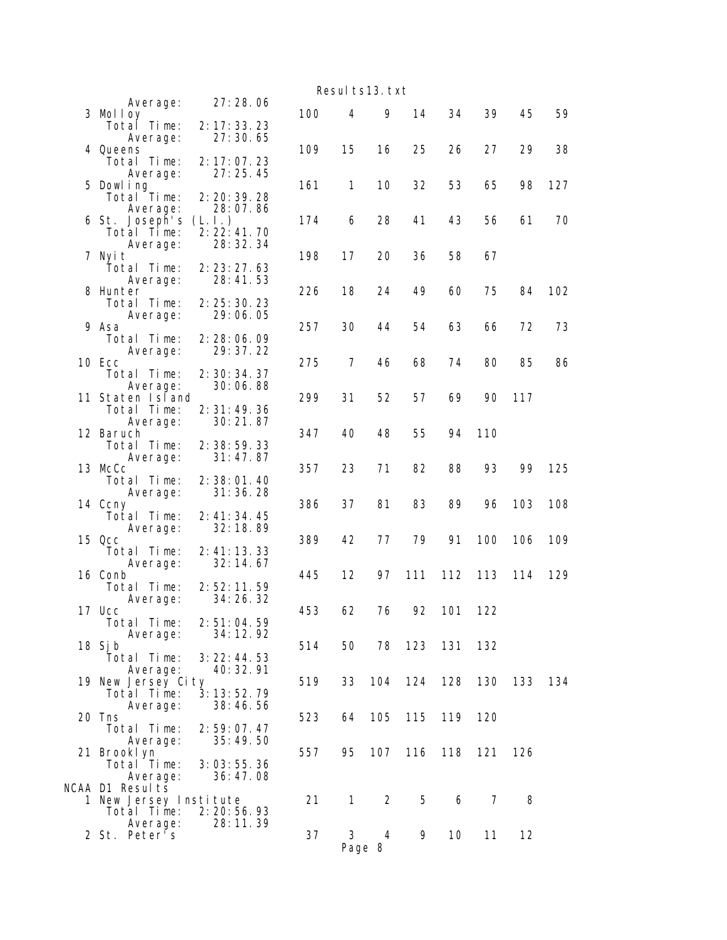|                                               |                                    |     |              | Resul ts13. txt |     |         |     |     |       |
|-----------------------------------------------|------------------------------------|-----|--------------|-----------------|-----|---------|-----|-----|-------|
| Average:<br>3 Molloy                          | 27:28.06                           | 100 | 4            | 9               | 14  | 34      | 39  | 45  | 59    |
| Total Time:<br>Average:                       | 2: 17: 33. 23<br>27:30.65          |     | 15           |                 | 25  |         | 27  | 29  | 38    |
| 4 Queens<br>Total Time:<br>Average:           | 2: 17: 07.23<br>27:25.45           | 109 |              | 16              |     | 26      |     |     |       |
| 5 Dowl ing<br>Total Time:                     | 2: 20: 39. 28                      | 161 | 1            | 10              | 32  | 53      | 65  | 98  | 127   |
| Average:<br>6 St. Joseph's<br>Total Time:     | 28:07.86<br>(L, L)<br>2: 22: 41.70 | 174 | 6            | 28              | 41  | 43      | 56  | 61  | 70    |
| Average:<br>7 Nyit                            | 28: 32. 34                         | 198 | 17           | 20              | 36  | 58      | 67  |     |       |
| Total Time:<br>Average:<br>8 Hunter           | 2: 23: 27.63<br>28:41.53           | 226 | 18           | 24              | 49  | 60      | 75  | 84  | 102   |
| Total Time:<br>Average:                       | 2: 25: 30. 23<br>29:06.05          |     |              |                 |     |         |     |     |       |
| 9 Asa<br>Total Time:                          | 2: 28: 06.09                       | 257 | 30           | 44              | 54  | 63      | 66  | 72  | 73    |
| Average:<br>10 Ecc<br>Total Time:             | 29: 37. 22<br>2: 30: 34. 37        | 275 | 7            | 46              | 68  | 74      | 80  | 85  | 86    |
| Average:<br>11 Staten Island<br>Total Time:   | 30:06.88<br>2: 31: 49. 36          | 299 | 31           | 52              | 57  | 69      | 90  | 117 |       |
| Average:<br>12 Baruch                         | 30:21.87                           | 347 | 40           | 48              | 55  | 94      | 110 |     |       |
| Total Time:<br>Average:<br>13 McCc            | 2:38:59.33<br>31:47.87             | 357 | 23           | 71              | 82  | 88      | 93  | 99  | 125   |
| Total Time:<br>Average:<br>14 Ccny            | 2:38:01.40<br>31:36.28             |     | 37           | 81              | 83  | 89      | 96  | 103 |       |
| Total Time:<br>Average:                       | 2: 41: 34. 45<br>32:18.89          | 386 |              |                 |     |         |     |     | 108   |
| 15 Qcc<br>Total Time:                         | 2: 41: 13. 33<br>32:14.67          | 389 | 42           | 77              | 79  | 91      | 100 | 106 | 109   |
| Average:<br>16 Conb<br>Total Time:            | 2:52:11.59                         | 445 | 12           | 97              | 111 | 112     | 113 | 114 | 129   |
| Average:<br>17 Ucc<br>Total Time:             | 34:26.32<br>2: 51: 04.59           | 453 | 62           | 76              | 92  | 101     | 122 |     |       |
| Average:<br>18 Sj b                           | 34: 12. 92                         | 514 | 50           | 78              | 123 | 131     | 132 |     |       |
| Total Time:<br>Average:<br>19 New Jersey City | 3: 22: 44.53<br>40: 32. 91         | 519 | 33           | 104             | 124 | 128     | 130 | 133 | - 134 |
| Total Time:<br>Average:<br>20 Tns             | 3:13:52.79<br>38:46.56             | 523 | 64           | 105             | 115 | 119     | 120 |     |       |
| Total Time:<br>Average:                       | 2:59:07.47<br>35:49.50             |     |              |                 |     |         |     |     |       |
| 21 Brooklyn<br>Total Time:<br>Average:        | 3:03:55.36<br>36:47.08             | 557 | 95           | 107             |     | 116 118 | 121 | 126 |       |
| NCAA D1 Results<br>1 New Jersey Institute     |                                    | 21  | $\mathbf{1}$ | 2               | 5   | 6       | 7   | 8   |       |
| Total Time:<br>Average:                       | 2: 20: 56. 93<br>28:11.39          |     |              |                 |     |         |     |     |       |
| 2 St. Peter's                                 |                                    | 37  | 3            | 4<br>Page 8     | 9   | 10      | 11  | 12  |       |